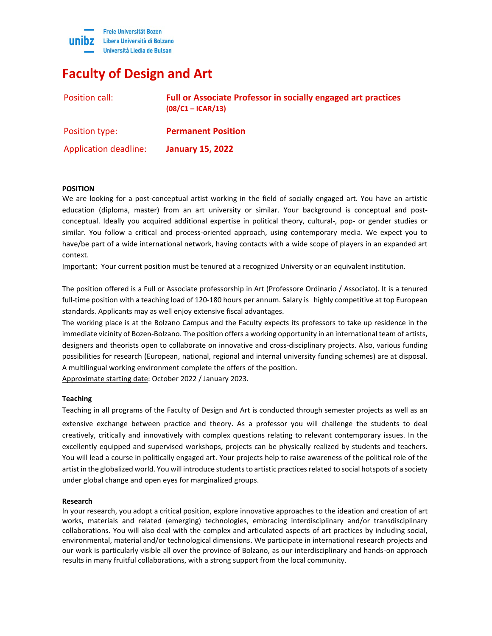

# **Faculty of Design and Art**

| Position call:               | <b>Full or Associate Professor in socially engaged art practices</b><br>$(08/C1 - ICAR/13)$ |
|------------------------------|---------------------------------------------------------------------------------------------|
| Position type:               | <b>Permanent Position</b>                                                                   |
| <b>Application deadline:</b> | <b>January 15, 2022</b>                                                                     |

# **POSITION**

We are looking for a post-conceptual artist working in the field of socially engaged art. You have an artistic education (diploma, master) from an art university or similar. Your background is conceptual and postconceptual. Ideally you acquired additional expertise in political theory, cultural-, pop- or gender studies or similar. You follow a critical and process-oriented approach, using contemporary media. We expect you to have/be part of a wide international network, having contacts with a wide scope of players in an expanded art context.

Important: Your current position must be tenured at a recognized University or an equivalent institution.

The position offered is a Full or Associate professorship in Art (Professore Ordinario / Associato). It is a tenured full-time position with a teaching load of 120-180 hours per annum. Salary is highly competitive at top European standards. Applicants may as well enjoy extensive fiscal advantages.

The working place is at the Bolzano Campus and the Faculty expects its professors to take up residence in the immediate vicinity of Bozen-Bolzano. The position offers a working opportunity in an international team of artists, designers and theorists open to collaborate on innovative and cross-disciplinary projects. Also, various funding possibilities for research (European, national, regional and internal university funding schemes) are at disposal. A multilingual working environment complete the offers of the position.

Approximate starting date: October 2022 / January 2023.

# **Teaching**

Teaching in all programs of the Faculty of Design and Art is conducted through semester projects as well as an extensive exchange between practice and theory. As a professor you will challenge the students to deal creatively, critically and innovatively with complex questions relating to relevant contemporary issues. In the excellently equipped and supervised workshops, projects can be physically realized by students and teachers. You will lead a course in politically engaged art. Your projects help to raise awareness of the political role of the artist in the globalized world. You will introduce students to artistic practices related to social hotspots of a society under global change and open eyes for marginalized groups.

### **Research**

In your research, you adopt a critical position, explore innovative approaches to the ideation and creation of art works, materials and related (emerging) technologies, embracing interdisciplinary and/or transdisciplinary collaborations. You will also deal with the complex and articulated aspects of art practices by including social, environmental, material and/or technological dimensions. We participate in international research projects and our work is particularly visible all over the province of Bolzano, as our interdisciplinary and hands-on approach results in many fruitful collaborations, with a strong support from the local community.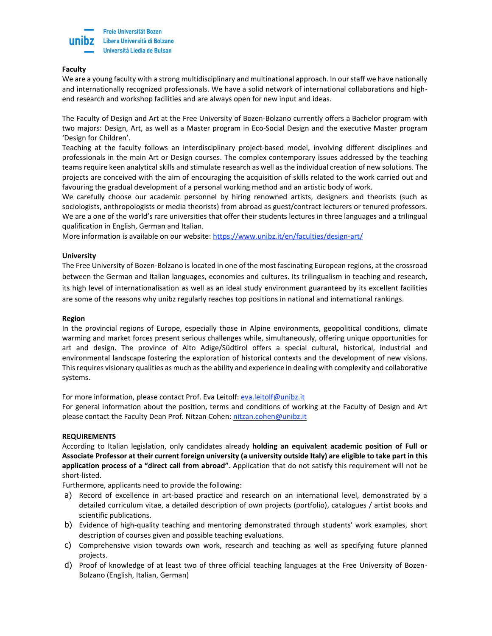

## **Faculty**

We are a young faculty with a strong multidisciplinary and multinational approach. In our staff we have nationally and internationally recognized professionals. We have a solid network of international collaborations and highend research and workshop facilities and are always open for new input and ideas.

The Faculty of Design and Art at the Free University of Bozen-Bolzano currently offers a Bachelor program with two majors: Design, Art, as well as a Master program in Eco-Social Design and the executive Master program 'Design for Children'.

Teaching at the faculty follows an interdisciplinary project-based model, involving different disciplines and professionals in the main Art or Design courses. The complex contemporary issues addressed by the teaching teams require keen analytical skills and stimulate research as well as the individual creation of new solutions. The projects are conceived with the aim of encouraging the acquisition of skills related to the work carried out and favouring the gradual development of a personal working method and an artistic body of work.

We carefully choose our academic personnel by hiring renowned artists, designers and theorists (such as sociologists, anthropologists or media theorists) from abroad as guest/contract lecturers or tenured professors. We are a one of the world's rare universities that offer their students lectures in three languages and a trilingual qualification in English, German and Italian.

More information is available on our website:<https://www.unibz.it/en/faculties/design-art/>

## **University**

The Free University of Bozen-Bolzano is located in one of the most fascinating European regions, at the crossroad between the German and Italian languages, economies and cultures. Its trilingualism in teaching and research, its high level of internationalisation as well as an ideal study environment guaranteed by its excellent facilities are some of the reasons why unibz regularly reaches top positions in national and [international](https://www.unibz.it/en/home/profile/#Organism-1357) rankings.

### **Region**

In the provincial regions of Europe, especially those in Alpine environments, geopolitical conditions, climate warming and market forces present serious challenges while, simultaneously, offering unique opportunities for art and design. The province of Alto Adige/Südtirol offers a special cultural, historical, industrial and environmental landscape fostering the exploration of historical contexts and the development of new visions. This requires visionary qualities as much as the ability and experience in dealing with complexity and collaborative systems.

For more information, please contact Prof. Eva Leitolf: [eva.leitolf@unibz.it](mailto:eva.leitolf@unibz.it)

For general information about the position, terms and conditions of working at the Faculty of Design and Art please contact the Faculty Dean Prof. Nitzan Cohen: [nitzan.cohen@unibz.it](mailto:nitzan.cohen@unibz.it)

### **REQUIREMENTS**

According to Italian legislation, only candidates already **holding an equivalent academic position of Full or** Associate Professor at their current foreign university (a university outside Italy) are eligible to take part in this **application process of a "direct call from abroad"**. Application that do not satisfy this requirement will not be short-listed.

Furthermore, applicants need to provide the following:

- a) Record of excellence in art-based practice and research on an international level, demonstrated by a detailed curriculum vitae, a detailed description of own projects (portfolio), catalogues / artist books and scientific publications.
- b) Evidence of high-quality teaching and mentoring demonstrated through students' work examples, short description of courses given and possible teaching evaluations.
- c) Comprehensive vision towards own work, research and teaching as well as specifying future planned projects.
- d) Proof of knowledge of at least two of three official teaching languages at the Free University of Bozen-Bolzano (English, Italian, German)